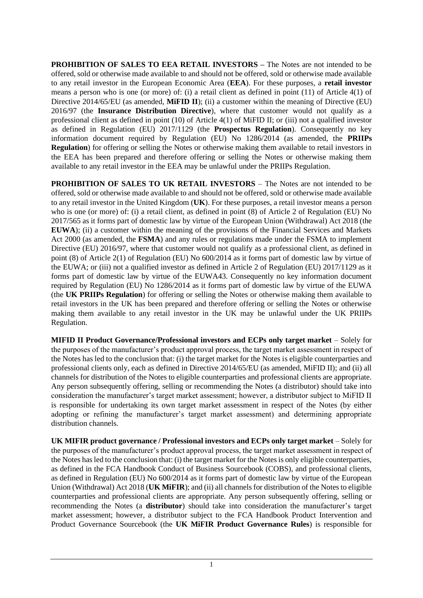**PROHIBITION OF SALES TO EEA RETAIL INVESTORS –** The Notes are not intended to be offered, sold or otherwise made available to and should not be offered, sold or otherwise made available to any retail investor in the European Economic Area (**EEA**). For these purposes, a **retail investor**  means a person who is one (or more) of: (i) a retail client as defined in point (11) of Article 4(1) of Directive 2014/65/EU (as amended, **MiFID II**); (ii) a customer within the meaning of Directive (EU) 2016/97 (the **Insurance Distribution Directive**), where that customer would not qualify as a professional client as defined in point (10) of Article 4(1) of MiFID II; or (iii) not a qualified investor as defined in Regulation (EU) 2017/1129 (the **Prospectus Regulation**). Consequently no key information document required by Regulation (EU) No 1286/2014 (as amended, the **PRIIPs Regulation**) for offering or selling the Notes or otherwise making them available to retail investors in the EEA has been prepared and therefore offering or selling the Notes or otherwise making them available to any retail investor in the EEA may be unlawful under the PRIIPs Regulation.

**PROHIBITION OF SALES TO UK RETAIL INVESTORS** – The Notes are not intended to be offered, sold or otherwise made available to and should not be offered, sold or otherwise made available to any retail investor in the United Kingdom (**UK**). For these purposes, a retail investor means a person who is one (or more) of: (i) a retail client, as defined in point (8) of Article 2 of Regulation (EU) No 2017/565 as it forms part of domestic law by virtue of the European Union (Withdrawal) Act 2018 (the **EUWA**); (ii) a customer within the meaning of the provisions of the Financial Services and Markets Act 2000 (as amended, the **FSMA**) and any rules or regulations made under the FSMA to implement Directive (EU) 2016/97, where that customer would not qualify as a professional client, as defined in point (8) of Article 2(1) of Regulation (EU) No 600/2014 as it forms part of domestic law by virtue of the EUWA; or (iii) not a qualified investor as defined in Article 2 of Regulation (EU) 2017/1129 as it forms part of domestic law by virtue of the EUWA43. Consequently no key information document required by Regulation (EU) No 1286/2014 as it forms part of domestic law by virtue of the EUWA (the **UK PRIIPs Regulation**) for offering or selling the Notes or otherwise making them available to retail investors in the UK has been prepared and therefore offering or selling the Notes or otherwise making them available to any retail investor in the UK may be unlawful under the UK PRIIPs Regulation.

**MIFID II Product Governance/Professional investors and ECPs only target market** – Solely for the purposes of the manufacturer's product approval process, the target market assessment in respect of the Notes has led to the conclusion that: (i) the target market for the Notes is eligible counterparties and professional clients only, each as defined in Directive 2014/65/EU (as amended, MiFID II); and (ii) all channels for distribution of the Notes to eligible counterparties and professional clients are appropriate. Any person subsequently offering, selling or recommending the Notes (a distributor) should take into consideration the manufacturer's target market assessment; however, a distributor subject to MiFID II is responsible for undertaking its own target market assessment in respect of the Notes (by either adopting or refining the manufacturer's target market assessment) and determining appropriate distribution channels.

**UK MIFIR product governance / Professional investors and ECPs only target market** – Solely for the purposes of the manufacturer's product approval process, the target market assessment in respect of the Notes has led to the conclusion that: (i) the target market for the Notes is only eligible counterparties, as defined in the FCA Handbook Conduct of Business Sourcebook (COBS), and professional clients, as defined in Regulation (EU) No 600/2014 as it forms part of domestic law by virtue of the European Union (Withdrawal) Act 2018 (**UK MiFIR**); and (ii) all channels for distribution of the Notes to eligible counterparties and professional clients are appropriate. Any person subsequently offering, selling or recommending the Notes (a **distributor**) should take into consideration the manufacturer's target market assessment; however, a distributor subject to the FCA Handbook Product Intervention and Product Governance Sourcebook (the **UK MiFIR Product Governance Rules**) is responsible for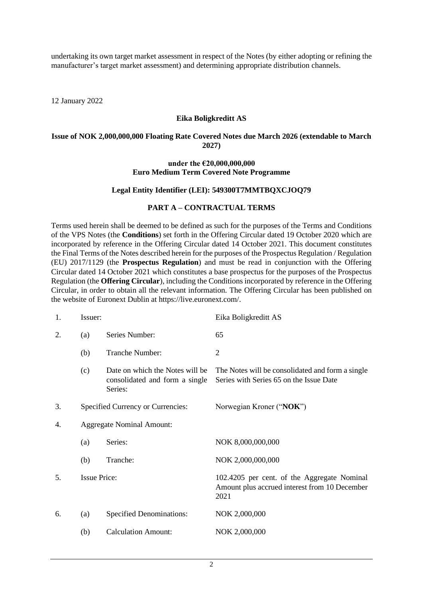undertaking its own target market assessment in respect of the Notes (by either adopting or refining the manufacturer's target market assessment) and determining appropriate distribution channels.

12 January 2022

## **Eika Boligkreditt AS**

### **Issue of NOK 2,000,000,000 Floating Rate Covered Notes due March 2026 (extendable to March 2027)**

#### **under the €20,000,000,000 Euro Medium Term Covered Note Programme**

## **Legal Entity Identifier (LEI): 549300T7MMTBQXCJOQ79**

### **PART A – CONTRACTUAL TERMS**

Terms used herein shall be deemed to be defined as such for the purposes of the Terms and Conditions of the VPS Notes (the **Conditions**) set forth in the Offering Circular dated 19 October 2020 which are incorporated by reference in the Offering Circular dated 14 October 2021. This document constitutes the Final Terms of the Notes described herein for the purposes of the Prospectus Regulation / Regulation (EU) 2017/1129 (the **Prospectus Regulation**) and must be read in conjunction with the Offering Circular dated 14 October 2021 which constitutes a base prospectus for the purposes of the Prospectus Regulation (the **Offering Circular**), including the Conditions incorporated by reference in the Offering Circular, in order to obtain all the relevant information. The Offering Circular has been published on the website of Euronext Dublin at https://live.euronext.com/.

| 1. | Issuer:                          |                                                                              | Eika Boligkreditt AS                                                                                 |  |
|----|----------------------------------|------------------------------------------------------------------------------|------------------------------------------------------------------------------------------------------|--|
| 2. | (a)                              | Series Number:                                                               | 65                                                                                                   |  |
|    | (b)                              | Tranche Number:                                                              | $\overline{2}$                                                                                       |  |
|    | (c)                              | Date on which the Notes will be<br>consolidated and form a single<br>Series: | The Notes will be consolidated and form a single<br>Series with Series 65 on the Issue Date          |  |
| 3. |                                  | Specified Currency or Currencies:                                            | Norwegian Kroner ("NOK")                                                                             |  |
| 4. | <b>Aggregate Nominal Amount:</b> |                                                                              |                                                                                                      |  |
|    | (a)                              | Series:                                                                      | NOK 8,000,000,000                                                                                    |  |
|    | (b)                              | Tranche:                                                                     | NOK 2,000,000,000                                                                                    |  |
| 5. | <b>Issue Price:</b>              |                                                                              | 102.4205 per cent. of the Aggregate Nominal<br>Amount plus accrued interest from 10 December<br>2021 |  |
| 6. | (a)                              | <b>Specified Denominations:</b>                                              | NOK 2,000,000                                                                                        |  |
|    | (b)                              | <b>Calculation Amount:</b>                                                   | NOK 2,000,000                                                                                        |  |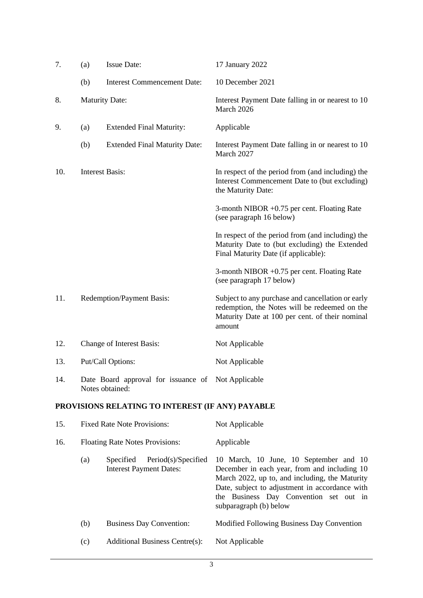| 7.  | (a)                    | <b>Issue Date:</b>                                                    | 17 January 2022                                                                                                                                                 |
|-----|------------------------|-----------------------------------------------------------------------|-----------------------------------------------------------------------------------------------------------------------------------------------------------------|
|     | (b)                    | <b>Interest Commencement Date:</b>                                    | 10 December 2021                                                                                                                                                |
| 8.  | <b>Maturity Date:</b>  |                                                                       | Interest Payment Date falling in or nearest to 10<br>March 2026                                                                                                 |
| 9.  | (a)                    | <b>Extended Final Maturity:</b>                                       | Applicable                                                                                                                                                      |
|     | (b)                    | <b>Extended Final Maturity Date:</b>                                  | Interest Payment Date falling in or nearest to 10<br>March 2027                                                                                                 |
| 10. | <b>Interest Basis:</b> |                                                                       | In respect of the period from (and including) the<br>Interest Commencement Date to (but excluding)<br>the Maturity Date:                                        |
|     |                        |                                                                       | 3-month NIBOR $+0.75$ per cent. Floating Rate<br>(see paragraph 16 below)                                                                                       |
|     |                        |                                                                       | In respect of the period from (and including) the<br>Maturity Date to (but excluding) the Extended<br>Final Maturity Date (if applicable):                      |
|     |                        |                                                                       | 3-month NIBOR $+0.75$ per cent. Floating Rate<br>(see paragraph 17 below)                                                                                       |
| 11. |                        | <b>Redemption/Payment Basis:</b>                                      | Subject to any purchase and cancellation or early<br>redemption, the Notes will be redeemed on the<br>Maturity Date at 100 per cent. of their nominal<br>amount |
| 12. |                        | Change of Interest Basis:                                             | Not Applicable                                                                                                                                                  |
| 13. |                        | Put/Call Options:                                                     | Not Applicable                                                                                                                                                  |
| 14. |                        | Date Board approval for issuance of Not Applicable<br>Notes obtained: |                                                                                                                                                                 |
|     |                        | PROVISIONS RELATING TO INTEREST (IF ANY) PAYABLE                      |                                                                                                                                                                 |
| 15. |                        | <b>Fixed Rate Note Provisions:</b>                                    | Not Applicable                                                                                                                                                  |

<span id="page-2-0"></span>

| 16. |     | <b>Floating Rate Notes Provisions:</b>                                    | Applicable                                                                                                                                                                                                                                                     |  |
|-----|-----|---------------------------------------------------------------------------|----------------------------------------------------------------------------------------------------------------------------------------------------------------------------------------------------------------------------------------------------------------|--|
|     | (a) | Period(s)/Specified<br><i>Specified</i><br><b>Interest Payment Dates:</b> | 10 March, 10 June, 10 September and 10<br>December in each year, from and including 10<br>March 2022, up to, and including, the Maturity<br>Date, subject to adjustment in accordance with<br>the Business Day Convention set out in<br>subparagraph (b) below |  |
|     | (b) | <b>Business Day Convention:</b>                                           | Modified Following Business Day Convention                                                                                                                                                                                                                     |  |
|     | (c) | <b>Additional Business Centre(s):</b>                                     | Not Applicable                                                                                                                                                                                                                                                 |  |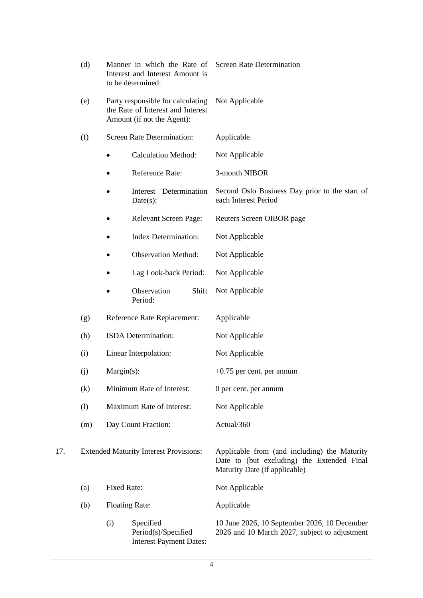<span id="page-3-0"></span>

|     | (d)<br>Manner in which the Rate of<br>Interest and Interest Amount is<br>to be determined:<br>(e)<br>Party responsible for calculating<br>the Rate of Interest and Interest<br>Amount (if not the Agent): |                                                                           | <b>Screen Rate Determination</b><br>Not Applicable                                                                          |  |
|-----|-----------------------------------------------------------------------------------------------------------------------------------------------------------------------------------------------------------|---------------------------------------------------------------------------|-----------------------------------------------------------------------------------------------------------------------------|--|
|     |                                                                                                                                                                                                           |                                                                           |                                                                                                                             |  |
|     | (f)                                                                                                                                                                                                       | <b>Screen Rate Determination:</b>                                         | Applicable                                                                                                                  |  |
|     |                                                                                                                                                                                                           | <b>Calculation Method:</b>                                                | Not Applicable                                                                                                              |  |
|     |                                                                                                                                                                                                           | Reference Rate:<br>٠                                                      | 3-month NIBOR                                                                                                               |  |
|     |                                                                                                                                                                                                           | Interest Determination<br>Date(s):                                        | Second Oslo Business Day prior to the start of<br>each Interest Period                                                      |  |
|     |                                                                                                                                                                                                           | <b>Relevant Screen Page:</b>                                              | Reuters Screen OIBOR page                                                                                                   |  |
|     |                                                                                                                                                                                                           | <b>Index Determination:</b><br>$\bullet$                                  | Not Applicable                                                                                                              |  |
|     | <b>Observation Method:</b>                                                                                                                                                                                |                                                                           | Not Applicable                                                                                                              |  |
|     |                                                                                                                                                                                                           | Lag Look-back Period:                                                     | Not Applicable                                                                                                              |  |
|     |                                                                                                                                                                                                           | Observation<br>Shift<br>Period:                                           | Not Applicable                                                                                                              |  |
|     | (g)                                                                                                                                                                                                       | Reference Rate Replacement:                                               | Applicable                                                                                                                  |  |
|     | (h)                                                                                                                                                                                                       | ISDA Determination:                                                       | Not Applicable                                                                                                              |  |
|     | (i)                                                                                                                                                                                                       | Linear Interpolation:                                                     | Not Applicable                                                                                                              |  |
|     | $Margin(s)$ :<br>(j)                                                                                                                                                                                      |                                                                           | $+0.75$ per cent. per annum                                                                                                 |  |
|     | (k)                                                                                                                                                                                                       | Minimum Rate of Interest:                                                 | 0 per cent. per annum                                                                                                       |  |
|     | (1)                                                                                                                                                                                                       | Maximum Rate of Interest:                                                 | Not Applicable                                                                                                              |  |
|     | (m)                                                                                                                                                                                                       | Day Count Fraction:                                                       | Actual/360                                                                                                                  |  |
| 17. |                                                                                                                                                                                                           | <b>Extended Maturity Interest Provisions:</b>                             | Applicable from (and including) the Maturity<br>Date to (but excluding) the Extended Final<br>Maturity Date (if applicable) |  |
|     | (a)                                                                                                                                                                                                       | <b>Fixed Rate:</b>                                                        | Not Applicable                                                                                                              |  |
|     | (b)                                                                                                                                                                                                       | <b>Floating Rate:</b>                                                     | Applicable                                                                                                                  |  |
|     |                                                                                                                                                                                                           | (i)<br>Specified<br>Period(s)/Specified<br><b>Interest Payment Dates:</b> | 10 June 2026, 10 September 2026, 10 December<br>2026 and 10 March 2027, subject to adjustment                               |  |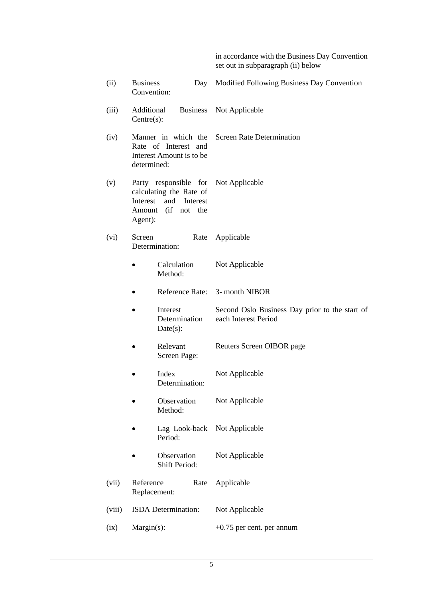in accordance with the Business Day Convention set out in subparagraph [\(ii\) below](#page-4-0)

<span id="page-4-0"></span>

| (ii)   | <b>Business</b><br>Convention: | Day                                                                                                      | Modified Following Business Day Convention                             |
|--------|--------------------------------|----------------------------------------------------------------------------------------------------------|------------------------------------------------------------------------|
| (iii)  | Additional<br>Centre(s):       | <b>Business</b>                                                                                          | Not Applicable                                                         |
| (iv)   | determined:                    | Manner in which the<br>Rate of Interest and<br>Interest Amount is to be                                  | <b>Screen Rate Determination</b>                                       |
| (v)    | Interest<br>Agent):            | Party responsible for Not Applicable<br>calculating the Rate of<br>and<br>Interest<br>Amount (if not the |                                                                        |
| (vi)   | Screen                         | Rate<br>Determination:                                                                                   | Applicable                                                             |
|        |                                | Calculation<br>Method:                                                                                   | Not Applicable                                                         |
|        |                                | Reference Rate:                                                                                          | 3- month NIBOR                                                         |
|        |                                | Interest<br>Determination<br>Date(s):                                                                    | Second Oslo Business Day prior to the start of<br>each Interest Period |
|        |                                | Relevant<br>Screen Page:                                                                                 | Reuters Screen OIBOR page                                              |
|        |                                | Index<br>Determination:                                                                                  | Not Applicable                                                         |
|        |                                | Observation<br>Method:                                                                                   | Not Applicable                                                         |
|        |                                | Lag Look-back<br>Period:                                                                                 | Not Applicable                                                         |
|        |                                | Observation<br><b>Shift Period:</b>                                                                      | Not Applicable                                                         |
| (vii)  | Reference                      | Rate<br>Replacement:                                                                                     | Applicable                                                             |
| (viii) |                                | ISDA Determination:                                                                                      | Not Applicable                                                         |
| (ix)   | Margin(s):                     |                                                                                                          | $+0.75$ per cent. per annum                                            |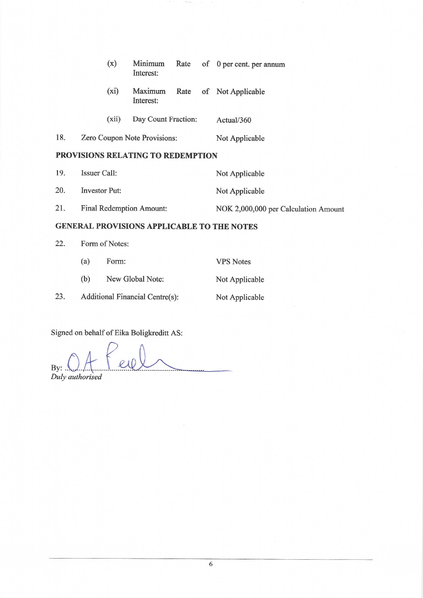|     | (x)                                      | Minimum<br>Interest: |  | Rate of 0 per cent. per annum |
|-----|------------------------------------------|----------------------|--|-------------------------------|
|     | $(x_i)$                                  | Maximum<br>Interest: |  | Rate of Not Applicable        |
|     | (xii)                                    | Day Count Fraction:  |  | Actual/360                    |
| 18. | Zero Coupon Note Provisions:             |                      |  | Not Applicable                |
|     | <b>PROVISIONS RELATING TO REDEMPTION</b> |                      |  |                               |
| 10  | $Iqg$ rener Colli                        |                      |  | $N_{0}$ Annlicable            |

| 19. | Issuer Call:             | Not Applicable                       |
|-----|--------------------------|--------------------------------------|
| 20. | Investor Put:            | Not Applicable                       |
| 21. | Final Redemption Amount: | NOK 2,000,000 per Calculation Amount |

## **GENERAL PROVISIONS APPLICABLE TO THE NOTES**

22. Form of Notes:

23.

| (a) | Form:                           | <b>VPS</b> Notes |
|-----|---------------------------------|------------------|
| (b) | New Global Note:                | Not Applicable   |
|     | Additional Financial Centre(s): | Not Applicable   |

Signed on behalf of Eika Boligkreditt AS:

By:  $\bigcup_{\text{Duly}}$  authorised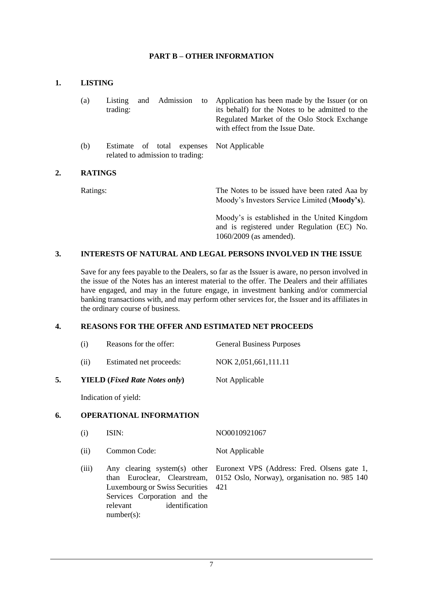## **PART B – OTHER INFORMATION**

### **1. LISTING**

|    | (a)            | Admission<br>Listing<br>and<br>trading:                           | to | Application has been made by the Issuer (or on<br>its behalf) for the Notes to be admitted to the<br>Regulated Market of the Oslo Stock Exchange<br>with effect from the Issue Date. |
|----|----------------|-------------------------------------------------------------------|----|--------------------------------------------------------------------------------------------------------------------------------------------------------------------------------------|
|    | (b)            | of total expenses<br>Estimate<br>related to admission to trading: |    | Not Applicable                                                                                                                                                                       |
| 2. | <b>RATINGS</b> |                                                                   |    |                                                                                                                                                                                      |
|    | Ratings:       |                                                                   |    | The Notes to be issued have been rated Aaa by<br>Moody's Investors Service Limited (Moody's).                                                                                        |
|    |                |                                                                   |    | Moody's is established in the United Kingdom                                                                                                                                         |

1060/2009 (as amended).

and is registered under Regulation (EC) No.

## **3. INTERESTS OF NATURAL AND LEGAL PERSONS INVOLVED IN THE ISSUE**

Save for any fees payable to the Dealers, so far as the Issuer is aware, no person involved in the issue of the Notes has an interest material to the offer. The Dealers and their affiliates have engaged, and may in the future engage, in investment banking and/or commercial banking transactions with, and may perform other services for, the Issuer and its affiliates in the ordinary course of business.

# **4. REASONS FOR THE OFFER AND ESTIMATED NET PROCEEDS**

- (i) Reasons for the offer: General Business Purposes
- (ii) Estimated net proceeds: NOK 2,051,661,111.11

#### **5. YIELD (***Fixed Rate Notes only***)** Not Applicable

Indication of yield:

## **6. OPERATIONAL INFORMATION**

- (i) ISIN: NO0010921067
- (ii) Common Code: Not Applicable
- (iii) Any clearing system(s) other than Euroclear, Clearstream, Luxembourg or Swiss Securities Services Corporation and the relevant identification number(s): Euronext VPS (Address: Fred. Olsens gate 1, 0152 Oslo, Norway), organisation no. 985 140 421